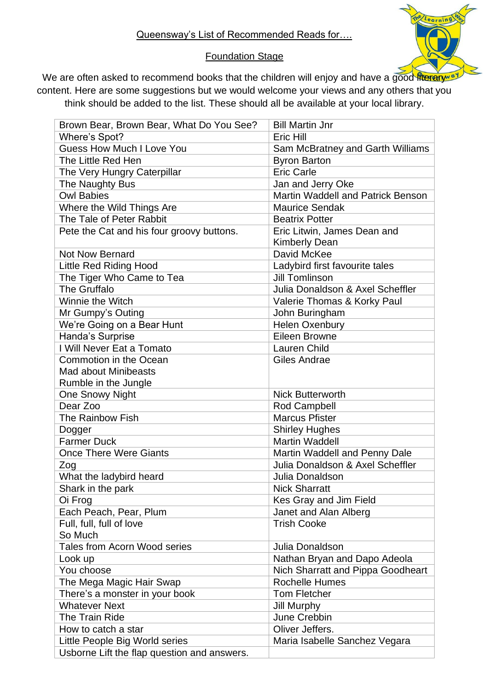## Foundation Stage

We are often asked to recommend books that the children will enjoy and have a good fiterary of content. Here are some suggestions but we would welcome your views and any others that you think should be added to the list. These should all be available at your local library.

| Brown Bear, Brown Bear, What Do You See?    | <b>Bill Martin Jnr</b>            |
|---------------------------------------------|-----------------------------------|
| Where's Spot?                               | Eric Hill                         |
| <b>Guess How Much I Love You</b>            | Sam McBratney and Garth Williams  |
| The Little Red Hen                          | <b>Byron Barton</b>               |
| The Very Hungry Caterpillar                 | <b>Eric Carle</b>                 |
| The Naughty Bus                             | Jan and Jerry Oke                 |
| <b>Owl Babies</b>                           | Martin Waddell and Patrick Benson |
| Where the Wild Things Are                   | <b>Maurice Sendak</b>             |
| The Tale of Peter Rabbit                    | <b>Beatrix Potter</b>             |
| Pete the Cat and his four groovy buttons.   | Eric Litwin, James Dean and       |
|                                             | <b>Kimberly Dean</b>              |
| <b>Not Now Bernard</b>                      | David McKee                       |
| <b>Little Red Riding Hood</b>               | Ladybird first favourite tales    |
| The Tiger Who Came to Tea                   | <b>Jill Tomlinson</b>             |
| The Gruffalo                                | Julia Donaldson & Axel Scheffler  |
| Winnie the Witch                            | Valerie Thomas & Korky Paul       |
| Mr Gumpy's Outing                           | John Buringham                    |
| We're Going on a Bear Hunt                  | Helen Oxenbury                    |
| Handa's Surprise                            | Eileen Browne                     |
| I Will Never Eat a Tomato                   | <b>Lauren Child</b>               |
| Commotion in the Ocean                      | Giles Andrae                      |
| <b>Mad about Minibeasts</b>                 |                                   |
| Rumble in the Jungle                        |                                   |
| <b>One Snowy Night</b>                      | <b>Nick Butterworth</b>           |
| Dear Zoo                                    | Rod Campbell                      |
| The Rainbow Fish                            | <b>Marcus Pfister</b>             |
| Dogger                                      | <b>Shirley Hughes</b>             |
| <b>Farmer Duck</b>                          | <b>Martin Waddell</b>             |
| <b>Once There Were Giants</b>               | Martin Waddell and Penny Dale     |
| Zog                                         | Julia Donaldson & Axel Scheffler  |
| What the ladybird heard                     | Julia Donaldson                   |
| Shark in the park                           | <b>Nick Sharratt</b>              |
| Oi Frog                                     | Kes Gray and Jim Field            |
| Each Peach, Pear, Plum                      | Janet and Alan Alberg             |
| Full, full, full of love                    | <b>Trish Cooke</b>                |
| So Much                                     |                                   |
| Tales from Acorn Wood series                | Julia Donaldson                   |
| Look up                                     | Nathan Bryan and Dapo Adeola      |
| You choose                                  | Nich Sharratt and Pippa Goodheart |
| The Mega Magic Hair Swap                    | <b>Rochelle Humes</b>             |
| There's a monster in your book              | <b>Tom Fletcher</b>               |
| <b>Whatever Next</b>                        | <b>Jill Murphy</b>                |
| The Train Ride                              | June Crebbin                      |
| How to catch a star                         | Oliver Jeffers.                   |
| Little People Big World series              | Maria Isabelle Sanchez Vegara     |
| Usborne Lift the flap question and answers. |                                   |